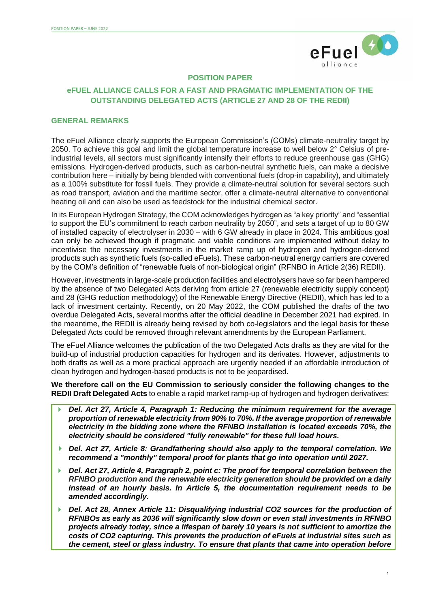

### **POSITION PAPER**

# **eFUEL ALLIANCE CALLS FOR A FAST AND PRAGMATIC IMPLEMENTATION OF THE OUTSTANDING DELEGATED ACTS (ARTICLE 27 AND 28 OF THE REDII)**

#### **GENERAL REMARKS**

The eFuel Alliance clearly supports the European Commission's (COMs) climate-neutrality target by 2050. To achieve this goal and limit the global temperature increase to well below 2° Celsius of preindustrial levels, all sectors must significantly intensify their efforts to reduce greenhouse gas (GHG) emissions. Hydrogen-derived products, such as carbon-neutral synthetic fuels, can make a decisive contribution here – initially by being blended with conventional fuels (drop-in capability), and ultimately as a 100% substitute for fossil fuels. They provide a climate-neutral solution for several sectors such as road transport, aviation and the maritime sector, offer a climate-neutral alternative to conventional heating oil and can also be used as feedstock for the industrial chemical sector.

In its European Hydrogen Strategy, the COM acknowledges hydrogen as "a key priority" and "essential to support the EU's commitment to reach carbon neutrality by 2050", and sets a target of up to 80 GW of installed capacity of electrolyser in 2030 – with 6 GW already in place in 2024. This ambitious goal can only be achieved though if pragmatic and viable conditions are implemented without delay to incentivise the necessary investments in the market ramp up of hydrogen and hydrogen-derived products such as synthetic fuels (so-called eFuels). These carbon-neutral energy carriers are covered by the COM's definition of "renewable fuels of non-biological origin" (RFNBO in Article 2(36) REDII).

However, investments in large-scale production facilities and electrolysers have so far been hampered by the absence of two Delegated Acts deriving from article 27 (renewable electricity supply concept) and 28 (GHG reduction methodology) of the Renewable Energy Directive (REDII), which has led to a lack of investment certainty. Recently, on 20 May 2022, the COM published the drafts of the two overdue Delegated Acts, several months after the official deadline in December 2021 had expired. In the meantime, the REDII is already being revised by both co-legislators and the legal basis for these Delegated Acts could be removed through relevant amendments by the European Parliament.

The eFuel Alliance welcomes the publication of the two Delegated Acts drafts as they are vital for the build-up of industrial production capacities for hydrogen and its derivates. However, adjustments to both drafts as well as a more practical approach are urgently needed if an affordable introduction of clean hydrogen and hydrogen-based products is not to be jeopardised.

**We therefore call on the EU Commission to seriously consider the following changes to the REDII Draft Delegated Acts** to enable a rapid market ramp-up of hydrogen and hydrogen derivatives:

- *Del. Act 27, Article 4, Paragraph 1: Reducing the minimum requirement for the average proportion of renewable electricity from 90% to 70%. If the average proportion of renewable electricity in the bidding zone where the RFNBO installation is located exceeds 70%, the electricity should be considered "fully renewable" for these full load hours.*
- *Del. Act 27, Article 8: Grandfathering should also apply to the temporal correlation. We recommend a "monthly" temporal proof for plants that go into operation until 2027.*
- *Del. Act 27, Article 4, Paragraph 2, point c: The proof for temporal correlation between the RFNBO production and the renewable electricity generation should be provided on a daily instead of an hourly basis. In Article 5, the documentation requirement needs to be amended accordingly.*
- *Del. Act 28, Annex Article 11: Disqualifying industrial CO2 sources for the production of RFNBOs as early as 2036 will significantly slow down or even stall investments in RFNBO projects already today, since a lifespan of barely 10 years is not sufficient to amortize the costs of CO2 capturing. This prevents the production of eFuels at industrial sites such as the cement, steel or glass industry. To ensure that plants that came into operation before*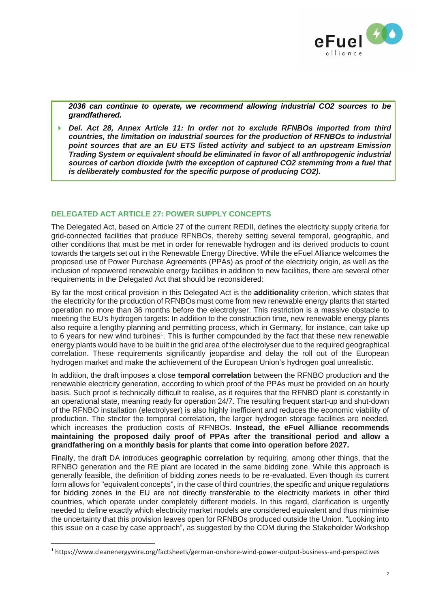

*2036 can continue to operate, we recommend allowing industrial CO2 sources to be grandfathered.*

 *Del. Act 28, Annex Article 11: In order not to exclude RFNBOs imported from third countries, the limitation on industrial sources for the production of RFNBOs to industrial point sources that are an EU ETS listed activity and subject to an upstream Emission Trading System or equivalent should be eliminated in favor of all anthropogenic industrial sources of carbon dioxide (with the exception of captured CO2 stemming from a fuel that is deliberately combusted for the specific purpose of producing CO2).*

## **DELEGATED ACT ARTICLE 27: POWER SUPPLY CONCEPTS**

The Delegated Act, based on Article 27 of the current REDII, defines the electricity supply criteria for grid-connected facilities that produce RFNBOs, thereby setting several temporal, geographic, and other conditions that must be met in order for renewable hydrogen and its derived products to count towards the targets set out in the Renewable Energy Directive. While the eFuel Alliance welcomes the proposed use of Power Purchase Agreements (PPAs) as proof of the electricity origin, as well as the inclusion of repowered renewable energy facilities in addition to new facilities, there are several other requirements in the Delegated Act that should be reconsidered:

By far the most critical provision in this Delegated Act is the **additionality** criterion, which states that the electricity for the production of RFNBOs must come from new renewable energy plants that started operation no more than 36 months before the electrolyser. This restriction is a massive obstacle to meeting the EU's hydrogen targets: In addition to the construction time, new renewable energy plants also require a lengthy planning and permitting process, which in Germany, for instance, can take up to 6 years for new wind turbines<sup>1</sup>. This is further compounded by the fact that these new renewable energy plants would have to be built in the grid area of the electrolyser due to the required geographical correlation. These requirements significantly jeopardise and delay the roll out of the European hydrogen market and make the achievement of the European Union's hydrogen goal unrealistic.

In addition, the draft imposes a close **temporal correlation** between the RFNBO production and the renewable electricity generation, according to which proof of the PPAs must be provided on an hourly basis. Such proof is technically difficult to realise, as it requires that the RFNBO plant is constantly in an operational state, meaning ready for operation 24/7. The resulting frequent start-up and shut-down of the RFNBO installation (electrolyser) is also highly inefficient and reduces the economic viability of production. The stricter the temporal correlation, the larger hydrogen storage facilities are needed, which increases the production costs of RFNBOs. **Instead, the eFuel Alliance recommends maintaining the proposed daily proof of PPAs after the transitional period and allow a grandfathering on a monthly basis for plants that come into operation before 2027.**

Finally, the draft DA introduces **geographic correlation** by requiring, among other things, that the RFNBO generation and the RE plant are located in the same bidding zone. While this approach is generally feasible, the definition of bidding zones needs to be re-evaluated. Even though its current form allows for "equivalent concepts", in the case of third countries, the specific and unique regulations for bidding zones in the EU are not directly transferable to the electricity markets in other third countries, which operate under completely different models. In this regard, clarification is urgently needed to define exactly which electricity market models are considered equivalent and thus minimise the uncertainty that this provision leaves open for RFNBOs produced outside the Union. "Looking into this issue on a case by case approach", as suggested by the COM during the Stakeholder Workshop

<sup>1</sup> https://www.cleanenergywire.org/factsheets/german-onshore-wind-power-output-business-and-perspectives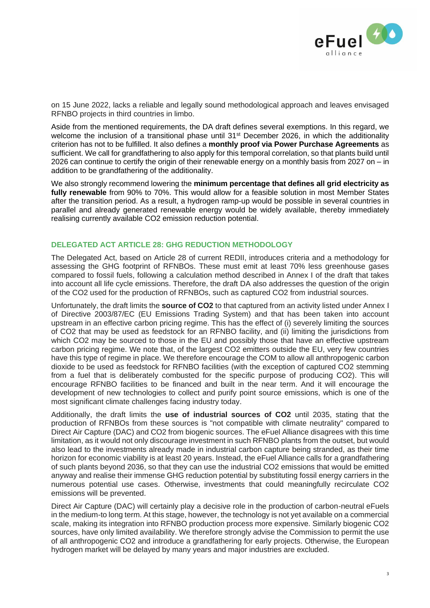

on 15 June 2022, lacks a reliable and legally sound methodological approach and leaves envisaged RFNBO projects in third countries in limbo.

Aside from the mentioned requirements, the DA draft defines several exemptions. In this regard, we welcome the inclusion of a transitional phase until 31<sup>st</sup> December 2026, in which the additionality criterion has not to be fulfilled. It also defines a **monthly proof via Power Purchase Agreements** as sufficient. We call for grandfathering to also apply for this temporal correlation, so that plants build until 2026 can continue to certify the origin of their renewable energy on a monthly basis from 2027 on – in addition to be grandfathering of the additionality.

We also strongly recommend lowering the **minimum percentage that defines all grid electricity as fully renewable** from 90% to 70%. This would allow for a feasible solution in most Member States after the transition period. As a result, a hydrogen ramp-up would be possible in several countries in parallel and already generated renewable energy would be widely available, thereby immediately realising currently available CO2 emission reduction potential.

## **DELEGATED ACT ARTICLE 28: GHG REDUCTION METHODOLOGY**

The Delegated Act, based on Article 28 of current REDII, introduces criteria and a methodology for assessing the GHG footprint of RFNBOs. These must emit at least 70% less greenhouse gases compared to fossil fuels, following a calculation method described in Annex I of the draft that takes into account all life cycle emissions. Therefore, the draft DA also addresses the question of the origin of the CO2 used for the production of RFNBOs, such as captured CO2 from industrial sources.

Unfortunately, the draft limits the **source of CO2** to that captured from an activity listed under Annex I of Directive 2003/87/EC (EU Emissions Trading System) and that has been taken into account upstream in an effective carbon pricing regime. This has the effect of (i) severely limiting the sources of CO2 that may be used as feedstock for an RFNBO facility, and (ii) limiting the jurisdictions from which CO2 may be sourced to those in the EU and possibly those that have an effective upstream carbon pricing regime. We note that, of the largest CO2 emitters outside the EU, very few countries have this type of regime in place. We therefore encourage the COM to allow all anthropogenic carbon dioxide to be used as feedstock for RFNBO facilities (with the exception of captured CO2 stemming from a fuel that is deliberately combusted for the specific purpose of producing CO2). This will encourage RFNBO facilities to be financed and built in the near term. And it will encourage the development of new technologies to collect and purify point source emissions, which is one of the most significant climate challenges facing industry today.

Additionally, the draft limits the **use of industrial sources of CO2** until 2035, stating that the production of RFNBOs from these sources is "not compatible with climate neutrality" compared to Direct Air Capture (DAC) and CO2 from biogenic sources. The eFuel Alliance disagrees with this time limitation, as it would not only discourage investment in such RFNBO plants from the outset, but would also lead to the investments already made in industrial carbon capture being stranded, as their time horizon for economic viability is at least 20 years. Instead, the eFuel Alliance calls for a grandfathering of such plants beyond 2036, so that they can use the industrial CO2 emissions that would be emitted anyway and realise their immense GHG reduction potential by substituting fossil energy carriers in the numerous potential use cases. Otherwise, investments that could meaningfully recirculate CO2 emissions will be prevented.

Direct Air Capture (DAC) will certainly play a decisive role in the production of carbon-neutral eFuels in the medium-to long term. At this stage, however, the technology is not yet available on a commercial scale, making its integration into RFNBO production process more expensive. Similarly biogenic CO2 sources, have only limited availability. We therefore strongly advise the Commission to permit the use of all anthropogenic CO2 and introduce a grandfathering for early projects. Otherwise, the European hydrogen market will be delayed by many years and major industries are excluded.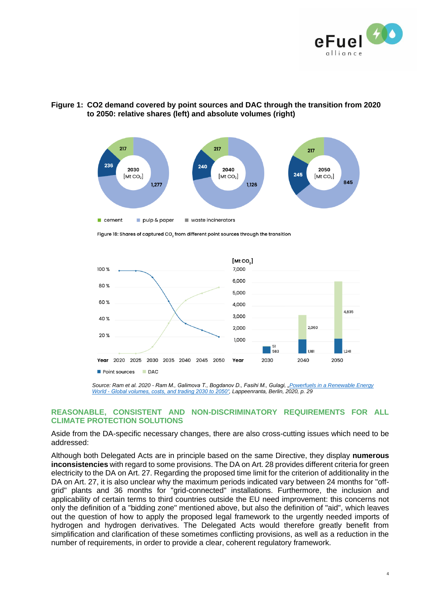

# **Figure 1: CO2 demand covered by point sources and DAC through the transition from 2020 to 2050: relative shares (left) and absolute volumes (right)**



Figure 18: Shares of captured CO, from different point sources through the transition



*Source: Ram et al. 2020 - Ram M., Galimova T., Bogdanov D., Fasihi M., Gulagi, ["Powerfuels in a Renewable Energy](https://www.efuel-alliance.eu/fileadmin/Downloads/Global_Alliance_Powerfuels_Study_Powerfuels_in_a_Renewable_Energy_World.pdf) World - [Global volumes, costs, and trading 2030 to 2050",](https://www.efuel-alliance.eu/fileadmin/Downloads/Global_Alliance_Powerfuels_Study_Powerfuels_in_a_Renewable_Energy_World.pdf) Lappeenranta, Berlin, 2020, p. 29*

### **REASONABLE, CONSISTENT AND NON-DISCRIMINATORY REQUIREMENTS FOR ALL CLIMATE PROTECTION SOLUTIONS**

Aside from the DA-specific necessary changes, there are also cross-cutting issues which need to be addressed:

Although both Delegated Acts are in principle based on the same Directive, they display **numerous inconsistencies** with regard to some provisions. The DA on Art. 28 provides different criteria for green electricity to the DA on Art. 27. Regarding the proposed time limit for the criterion of additionality in the DA on Art. 27, it is also unclear why the maximum periods indicated vary between 24 months for "offgrid" plants and 36 months for "grid-connected" installations. Furthermore, the inclusion and applicability of certain terms to third countries outside the EU need improvement: this concerns not only the definition of a "bidding zone" mentioned above, but also the definition of "aid", which leaves out the question of how to apply the proposed legal framework to the urgently needed imports of hydrogen and hydrogen derivatives. The Delegated Acts would therefore greatly benefit from simplification and clarification of these sometimes conflicting provisions, as well as a reduction in the number of requirements, in order to provide a clear, coherent regulatory framework.